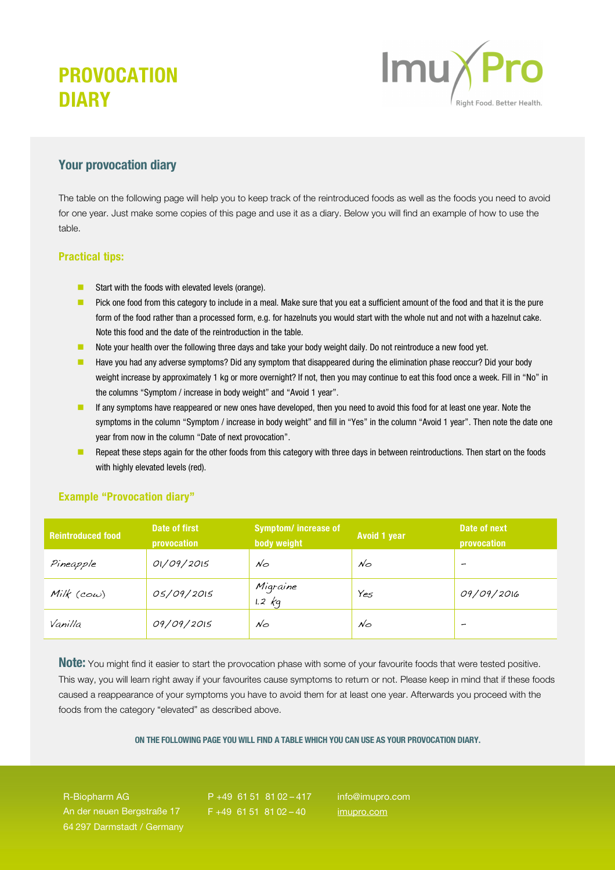# PROVOCATION **DIARY**



### Your provocation diary

The table on the following page will help you to keep track of the reintroduced foods as well as the foods you need to avoid for one year. Just make some copies of this page and use it as a diary. Below you will find an example of how to use the table.

### Practical tips:

- Start with the foods with elevated levels (orange).
- Pick one food from this category to include in a meal. Make sure that you eat a sufficient amount of the food and that it is the pure form of the food rather than a processed form, e.g. for hazelnuts you would start with the whole nut and not with a hazelnut cake. Note this food and the date of the reintroduction in the table.
- Note your health over the following three days and take your body weight daily. Do not reintroduce a new food yet.
- Have you had any adverse symptoms? Did any symptom that disappeared during the elimination phase reoccur? Did your body weight increase by approximately 1 kg or more overnight? If not, then you may continue to eat this food once a week. Fill in "No" in the columns "Symptom / increase in body weight" and "Avoid 1 year".
- If any symptoms have reappeared or new ones have developed, then you need to avoid this food for at least one year. Note the symptoms in the column "Symptom / increase in body weight" and fill in "Yes" in the column "Avoid 1 year". Then note the date one year from now in the column "Date of next provocation".
- Repeat these steps again for the other foods from this category with three days in between reintroductions. Then start on the foods with highly elevated levels (red).

| <b>Reintroduced food</b> | Date of first<br>provocation | <b>Symptom/increase of</b><br>body weight | <b>Avoid 1 year</b> | Date of next<br>provocation |
|--------------------------|------------------------------|-------------------------------------------|---------------------|-----------------------------|
| Pineapple                | 01/09/2015                   | $\mathcal{N}\circlearrowleft$             | $N_{\bigcirc}$      | -                           |
| Milk $(cow)$             | 05/09/2015                   | Migraine<br>$1.2$ $\epsilon$              | Yes                 | 09/09/2016                  |
| Vanilla                  | 09/09/2015                   | $\mathcal{N}\circlearrowleft$             | $N_{\bigcirc}$      | -                           |

#### Example "Provocation diary"

Note: You might find it easier to start the provocation phase with some of your favourite foods that were tested positive. This way, you will learn right away if your favourites cause symptoms to return or not. Please keep in mind that if these foods caused a reappearance of your symptoms you have to avoid them for at least one year. Afterwards you proceed with the foods from the category "elevated" as described above.

ON THE FOLLOWING PAGE YOU WILL FIND A TABLE WHICH YOU CAN USE AS YOUR PROVOCATION DIARY.

R-Biopharm AG An der neuen Bergstraße 17 64 297 Darmstadt / Germany

P +49 61 51 81 02 – 417  $F + 49$  61 51 81 02 - 40

info@imupro.com imupro.com